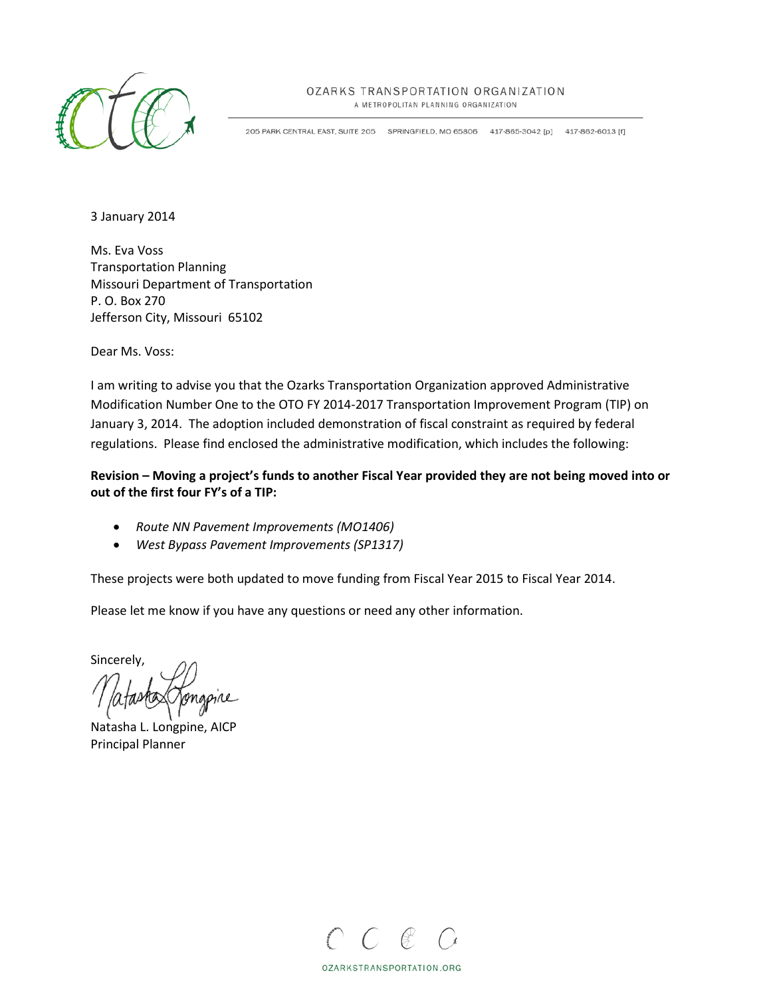

#### OZARKS TRANSPORTATION ORGANIZATION

A METROPOLITAN PLANNING ORGANIZATION

205 PARK CENTRAL EAST, SUITE 205 SPRINGFIELD, MO 65806 417-865-3042 [p] 417-862-6013 [f]

3 January 2014

Ms. Eva Voss Transportation Planning Missouri Department of Transportation P. O. Box 270 Jefferson City, Missouri 65102

Dear Ms. Voss:

I am writing to advise you that the Ozarks Transportation Organization approved Administrative Modification Number One to the OTO FY 2014-2017 Transportation Improvement Program (TIP) on January 3, 2014. The adoption included demonstration of fiscal constraint as required by federal regulations. Please find enclosed the administrative modification, which includes the following:

### **Revision – Moving a project's funds to another Fiscal Year provided they are not being moved into or out of the first four FY's of a TIP:**

- *Route NN Pavement Improvements (MO1406)*
- *West Bypass Pavement Improvements (SP1317)*

These projects were both updated to move funding from Fiscal Year 2015 to Fiscal Year 2014.

Please let me know if you have any questions or need any other information.

Sincerely,

Natasha L. Longpine, AICP Principal Planner



OZARKSTRANSPORTATION.ORG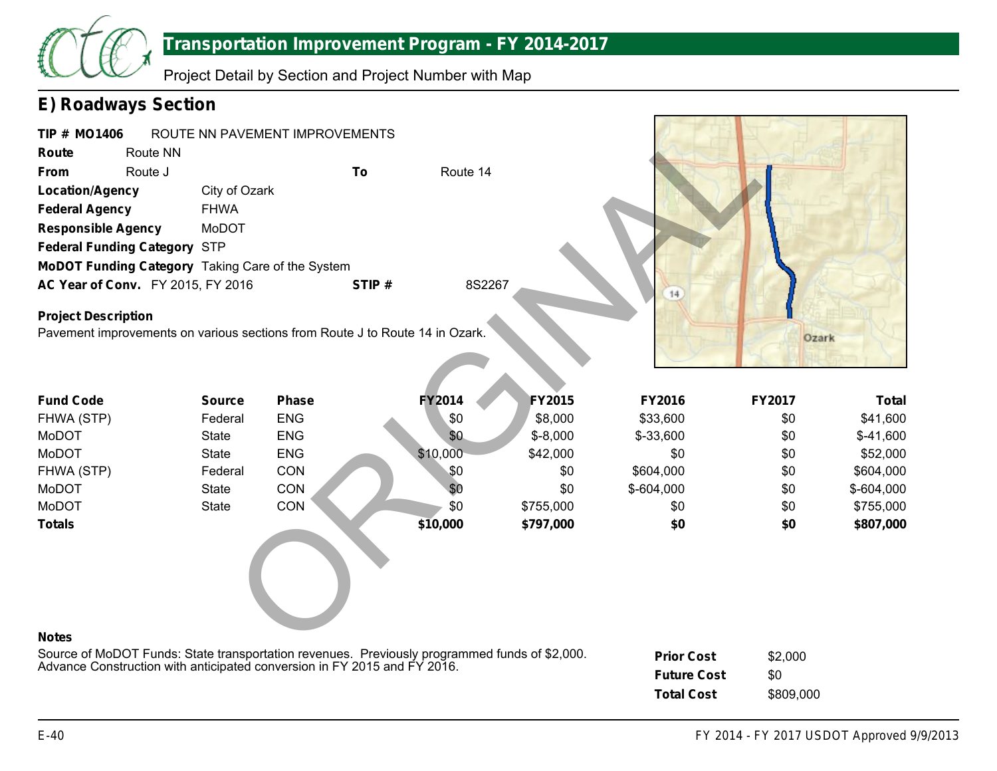

Project Detail by Section and Project Number with Map

### **E) Roadways Section**

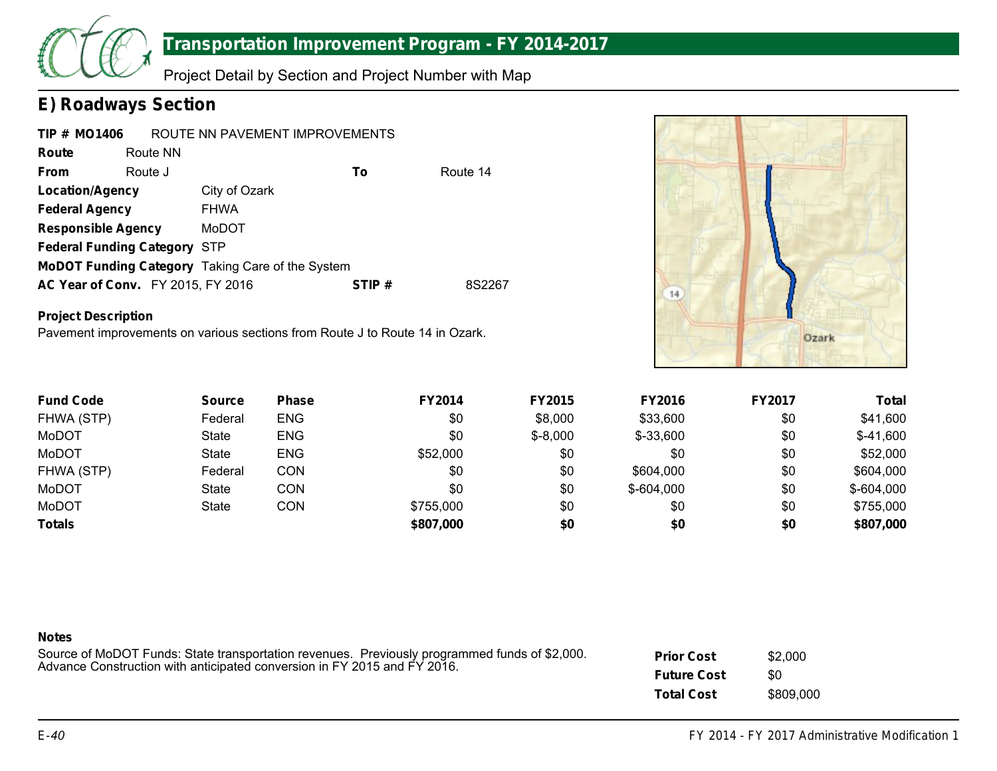

Project Detail by Section and Project Number with Map

### **E) Roadways Section**

| <b>TIP # MO1406</b>                      |          | ROUTE NN PAVEMENT IMPROVEMENTS                   |       |          |
|------------------------------------------|----------|--------------------------------------------------|-------|----------|
| Route                                    | Route NN |                                                  |       |          |
| <b>From</b>                              | Route J  |                                                  | To    | Route 14 |
| <b>Location/Agency</b>                   |          | City of Ozark                                    |       |          |
| <b>Federal Agency</b>                    |          | <b>FHWA</b>                                      |       |          |
| <b>Responsible Agency</b>                |          | MoDOT                                            |       |          |
| <b>Federal Funding Category STP</b>      |          |                                                  |       |          |
|                                          |          | MoDOT Funding Category Taking Care of the System |       |          |
| <b>AC Year of Conv.</b> FY 2015, FY 2016 |          |                                                  | STIP# | 8S2267   |

### **Project Description**

Pavement improvements on various sections from Route J to Route 14 in Ozark.



| <b>Fund Code</b> | <b>Source</b> | <b>Phase</b> | <b>FY2014</b> | <b>FY2015</b> | <b>FY2016</b> | <b>FY2017</b> | <b>Total</b> |
|------------------|---------------|--------------|---------------|---------------|---------------|---------------|--------------|
| FHWA (STP)       | Federal       | <b>ENG</b>   | \$0           | \$8,000       | \$33,600      | \$0           | \$41,600     |
| MoDOT            | State         | <b>ENG</b>   | \$0           | $$ -8,000$    | $$-33,600$    | \$0           | $$-41,600$   |
| MoDOT            | State         | <b>ENG</b>   | \$52,000      | \$0           | \$0           | \$0           | \$52,000     |
| FHWA (STP)       | Federal       | CON          | \$0           | \$0           | \$604,000     | \$0           | \$604,000    |
| MoDOT            | <b>State</b>  | CON          | \$0           | \$0           | $$-604,000$   | \$0           | $$-604,000$  |
| MoDOT            | <b>State</b>  | CON          | \$755,000     | \$0           | \$0           | \$0           | \$755,000    |
| <b>Totals</b>    |               |              | \$807,000     | \$0           | \$0           | \$0           | \$807,000    |

| <b>Notes</b><br>Source of MoDOT Funds: State transportation revenues. Previously programmed funds of \$2,000.<br>Advance Construction with anticipated conversion in FY 2015 and FY 2016. | <b>Prior Cost</b><br><b>Future Cost</b> | \$2,000<br>\$0 |  |
|-------------------------------------------------------------------------------------------------------------------------------------------------------------------------------------------|-----------------------------------------|----------------|--|
|                                                                                                                                                                                           | <b>Total Cost</b>                       | \$809,000      |  |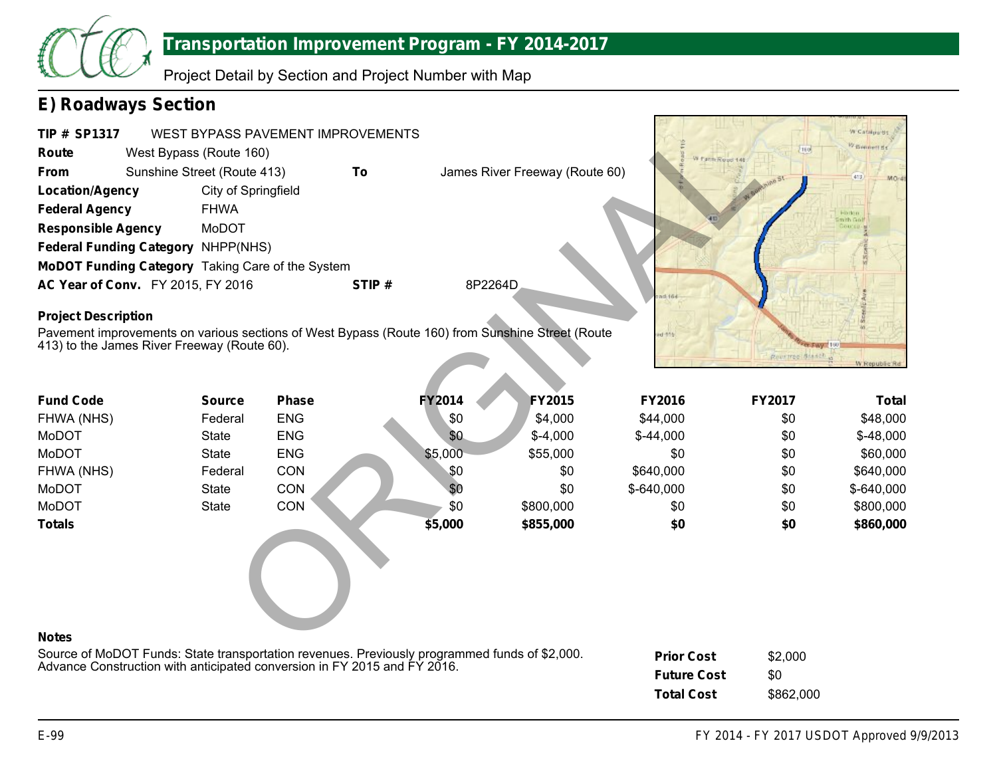

Project Detail by Section and Project Number with Map

## **E) Roadways Section**

| <b>TIP # SP1317</b><br>Route<br><b>From</b><br><b>Location/Agency</b><br><b>Federal Agency</b><br><b>Responsible Agency</b><br>Federal Funding Category NHPP(NHS)<br>MoDOT Funding Category Taking Care of the System | West Bypass (Route 160)<br>Sunshine Street (Route 413)<br>City of Springfield<br><b>FHWA</b><br>MoDOT | WEST BYPASS PAVEMENT IMPROVEMENTS<br>To |               | James River Freeway (Route 60) | W Farm Roud 146    |                 | 11 M J G L<br>W Catalpards<br>V/ Generi St<br>413 |
|-----------------------------------------------------------------------------------------------------------------------------------------------------------------------------------------------------------------------|-------------------------------------------------------------------------------------------------------|-----------------------------------------|---------------|--------------------------------|--------------------|-----------------|---------------------------------------------------|
| AC Year of Conv. FY 2015, FY 2016                                                                                                                                                                                     |                                                                                                       | STIP#                                   | 8P2264D       |                                |                    |                 |                                                   |
| <b>Project Description</b><br>Pavement improvements on various sections of West Bypass (Route 160) from Sunshine Street (Route<br>413) to the James River Freeway (Route 60).                                         |                                                                                                       |                                         |               |                                | 1464<br>$d - 1$    | Reported Bradch | W. Republic Rd                                    |
| <b>Fund Code</b>                                                                                                                                                                                                      | <b>Source</b>                                                                                         | <b>Phase</b>                            | <b>FY2014</b> | <b>FY2015</b>                  | <b>FY2016</b>      | <b>FY2017</b>   | <b>Total</b>                                      |
| FHWA (NHS)                                                                                                                                                                                                            | Federal                                                                                               | <b>ENG</b>                              | \$0           | \$4,000                        | \$44,000           | \$0             | \$48,000                                          |
| MoDOT                                                                                                                                                                                                                 | <b>State</b>                                                                                          | <b>ENG</b>                              | \$0           | $$-4,000$                      | $$-44,000$         | \$0             | $$-48,000$                                        |
| <b>MoDOT</b>                                                                                                                                                                                                          | <b>State</b>                                                                                          | <b>ENG</b>                              | \$5,000       | \$55,000                       | \$0                | \$0             | \$60,000                                          |
| FHWA (NHS)                                                                                                                                                                                                            | Federal                                                                                               | CON                                     | \$0           | \$0                            | \$640,000          | \$0             | \$640,000                                         |
| <b>MoDOT</b>                                                                                                                                                                                                          | <b>State</b>                                                                                          | CON                                     | \$0           | \$0                            | $$-640,000$        | \$0             | \$-640,000                                        |
| MoDOT                                                                                                                                                                                                                 | <b>State</b>                                                                                          | CON                                     | \$0           | \$800,000                      | \$0                | \$0             | \$800,000                                         |
| <b>Totals</b>                                                                                                                                                                                                         |                                                                                                       |                                         | \$5,000       | \$855,000                      | \$0                | \$0             | \$860,000                                         |
| <b>Notes</b>                                                                                                                                                                                                          |                                                                                                       |                                         |               |                                |                    |                 |                                                   |
| Source of MoDOT Funds: State transportation revenues. Previously programmed funds of \$2,000.                                                                                                                         |                                                                                                       |                                         |               |                                | <b>Prior Cost</b>  | \$2,000         |                                                   |
| Advance Construction with anticipated conversion in FY 2015 and FY 2016.                                                                                                                                              |                                                                                                       |                                         |               |                                | <b>Future Cost</b> | \$0             |                                                   |
|                                                                                                                                                                                                                       |                                                                                                       |                                         |               |                                | <b>Total Cost</b>  | \$862,000       |                                                   |

J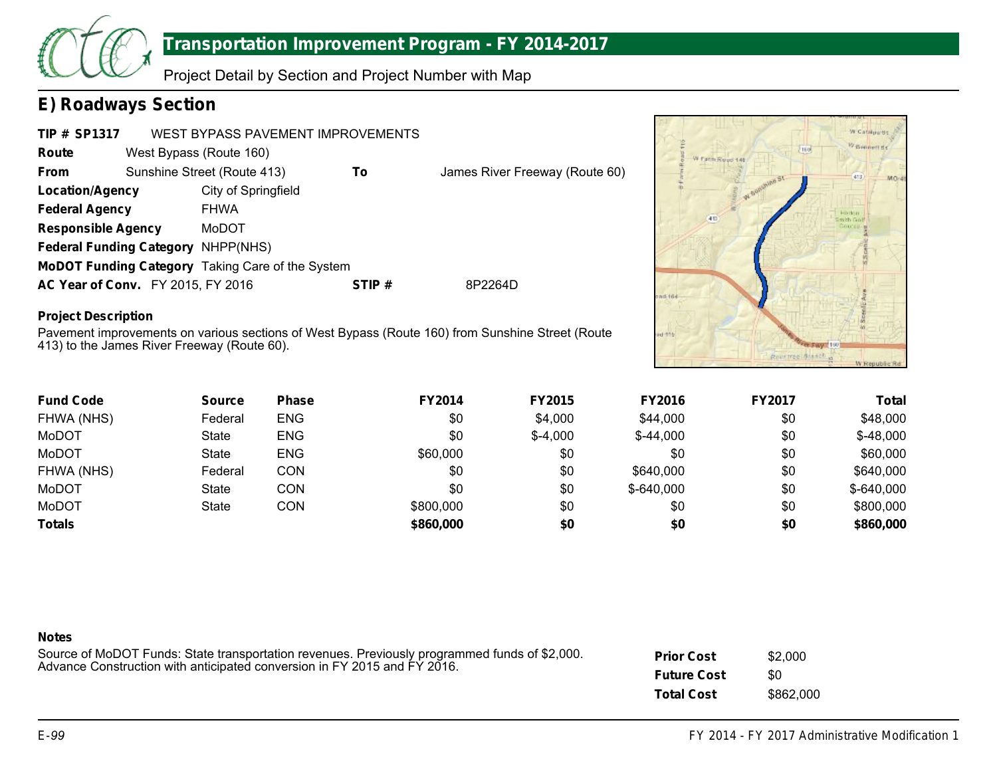

Project Detail by Section and Project Number with Map

### **E) Roadways Section**

| <b>TIP # SP1317</b>                      |                         | WEST BYPASS PAVEMENT IMPROVEMENTS                |       |                                |
|------------------------------------------|-------------------------|--------------------------------------------------|-------|--------------------------------|
| Route                                    | West Bypass (Route 160) |                                                  |       |                                |
| <b>From</b>                              |                         | Sunshine Street (Route 413)                      | To    | James River Freeway (Route 60) |
| Location/Agency                          |                         | City of Springfield                              |       |                                |
| <b>Federal Agency</b>                    |                         | <b>FHWA</b>                                      |       |                                |
| <b>Responsible Agency</b>                |                         | MoDOT                                            |       |                                |
| Federal Funding Category NHPP(NHS)       |                         |                                                  |       |                                |
|                                          |                         | MoDOT Funding Category Taking Care of the System |       |                                |
| <b>AC Year of Conv.</b> FY 2015, FY 2016 |                         |                                                  | STIP# | 8P2264D                        |

### **Project Description**

Pavement improvements on various sections of West Bypass (Route 160) from Sunshine Street (Route 413) to the James River Freeway (Route 60).



| <b>Fund Code</b> | <b>Source</b> | <b>Phase</b> | <b>FY2014</b> | <b>FY2015</b> | <b>FY2016</b> | <b>FY2017</b> | Total       |
|------------------|---------------|--------------|---------------|---------------|---------------|---------------|-------------|
| FHWA (NHS)       | Federal       | <b>ENG</b>   | \$0           | \$4,000       | \$44,000      | \$0           | \$48,000    |
| MoDOT            | State         | <b>ENG</b>   | \$0           | $$-4,000$     | $$-44,000$    | \$0           | $$-48,000$  |
| MoDOT            | State         | <b>ENG</b>   | \$60,000      | \$0           | \$0           | \$0           | \$60,000    |
| FHWA (NHS)       | Federal       | CON          | \$0           | \$0           | \$640,000     | \$0           | \$640,000   |
| MoDOT            | <b>State</b>  | CON          | \$0           | \$0           | $$-640,000$   | \$0           | $$-640,000$ |
| MoDOT            | <b>State</b>  | CON          | \$800,000     | \$0           | \$0           | \$0           | \$800,000   |
| <b>Totals</b>    |               |              | \$860,000     | \$0           | \$0           | \$0           | \$860,000   |

| <b>Notes</b>                                                                                  |                    |           |
|-----------------------------------------------------------------------------------------------|--------------------|-----------|
| Source of MoDOT Funds: State transportation revenues. Previously programmed funds of \$2,000. | <b>Prior Cost</b>  | \$2,000   |
| Advance Construction with anticipated conversion in FY 2015 and FY 2016.                      | <b>Future Cost</b> | \$0       |
|                                                                                               | <b>Total Cost</b>  | \$862,000 |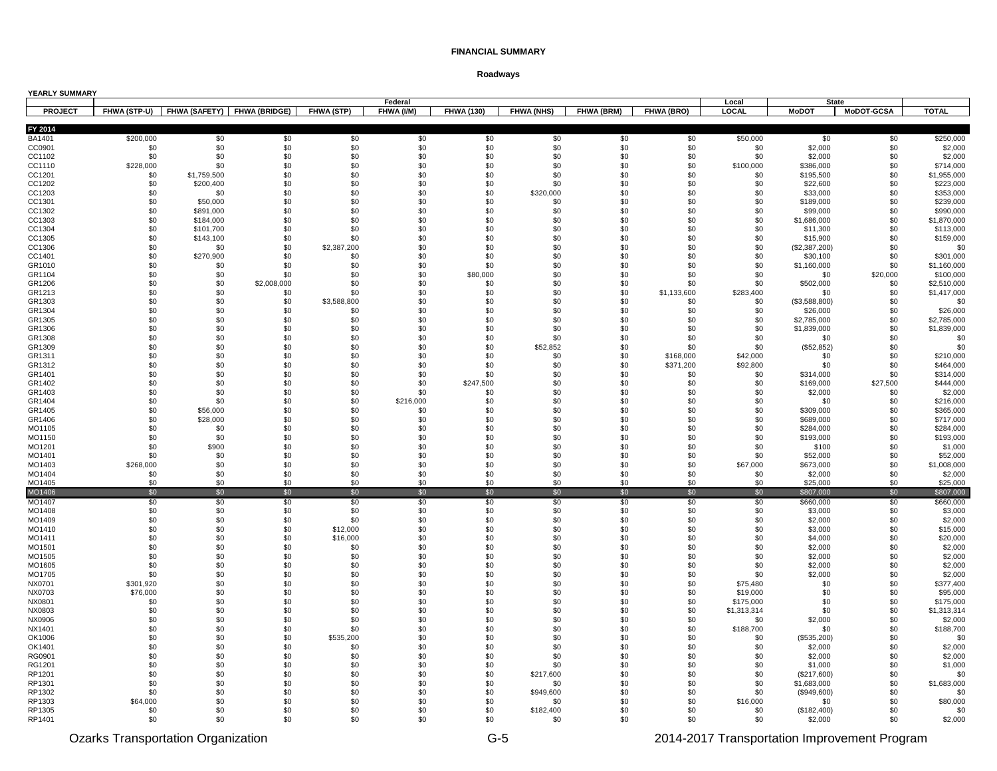| YEARLY SUMMARY   |                  |                        |                                          |                  |                       |                   |                   |            |                  |                  |                         |                                   |                          |
|------------------|------------------|------------------------|------------------------------------------|------------------|-----------------------|-------------------|-------------------|------------|------------------|------------------|-------------------------|-----------------------------------|--------------------------|
| <b>PROJECT</b>   |                  |                        | FHWA (STP-U) FHWA (SAFETY) FHWA (BRIDGE) | FHWA (STP)       | Federal<br>FHWA (I/M) | <b>FHWA (130)</b> | <b>FHWA (NHS)</b> | FHWA (BRM) | FHWA (BRO)       | Local<br>LOCAL   | <b>MoDOT</b>            | <b>State</b><br><b>MoDOT-GCSA</b> | <b>TOTAL</b>             |
|                  |                  |                        |                                          |                  |                       |                   |                   |            |                  |                  |                         |                                   |                          |
| FY 2014          |                  |                        |                                          |                  |                       |                   |                   |            |                  |                  |                         |                                   |                          |
| BA1401<br>CC0901 | \$200,000<br>\$0 | \$0<br>\$0             | \$0<br>\$0                               | \$0<br>\$0       | \$0<br>\$0            | \$0<br>\$0        | \$0<br>\$0        | \$0<br>\$0 | \$0<br>\$0       | \$50,000<br>\$0  | \$0<br>\$2,000          | \$0<br>\$0                        | \$250,000<br>\$2,000     |
| CC1102           | \$0              | \$0                    | \$0                                      | \$0              | \$0                   | \$0               | \$0               | \$0        | \$0              | \$0              | \$2,000                 | \$0                               | \$2,000                  |
| CC1110           | \$228,000        | \$0                    | \$0                                      | \$0              | \$0                   | \$0               | \$0               | \$0        | \$0              | \$100,000        | \$386,000               | \$0                               | \$714,000                |
| CC1201           | \$0              | \$1,759,500            | \$0                                      | \$0              | \$0                   | \$0               | \$0               | \$0        | \$0              | \$0              | \$195,500               | \$0                               | \$1,955,000              |
| CC1202           | \$0              | \$200,400              | \$0                                      | \$0              | \$0                   | \$0               | \$0               | \$0        | \$0              | \$0              | \$22,600                | \$0                               | \$223,000                |
| CC1203           | \$0              | \$0                    | \$0                                      | \$0              | \$0                   | \$0               | \$320,000         | \$0        | \$0              | \$0              | \$33,000                | \$0                               | \$353,000                |
| CC1301           | \$0              | \$50,000               | \$0                                      | \$0              | \$0                   | \$0               | \$0               | \$0        | \$0              | \$0              | \$189,000               | \$0                               | \$239,000                |
| CC1302<br>CC1303 | \$0<br>\$0       | \$891,000<br>\$184,000 | \$0<br>\$0                               | \$0<br>\$0       | \$0<br>\$0            | \$0<br>\$0        | \$0<br>\$0        | \$0<br>\$0 | \$0<br>\$0       | \$0<br>\$0       | \$99,000<br>\$1,686,000 | \$0<br>\$0                        | \$990,000<br>\$1,870,000 |
| CC1304           | \$0              | \$101,700              | \$0                                      | \$0              | \$0                   | \$0               | \$0               | \$0        | \$0              | \$0              | \$11,300                | \$0                               | \$113,000                |
| CC1305           | \$0              | \$143,100              | \$0                                      | \$0              | \$0                   | \$0               | \$0               | \$0        | \$0              | \$0              | \$15,900                | \$0                               | \$159,000                |
| CC1306           | \$0              | \$0                    | \$0                                      | \$2,387,200      | \$0                   | \$0               | \$0               | \$0        | \$0              | \$0              | (\$2,387,200)           | \$0                               | \$0                      |
| CC1401           | \$0              | \$270,900              | \$0                                      | \$0              | \$0                   | \$0               | \$0               | \$0        | \$0              | \$0              | \$30,100                | \$0                               | \$301,000                |
| GR1010           | \$0              | \$0                    | \$0                                      | \$0              | \$0                   | \$0               | \$0               | \$0        | \$0              | \$0              | \$1,160,000             | \$0                               | \$1,160,000              |
| GR1104<br>GR1206 | \$0<br>\$0       | \$0<br>\$0             | \$0<br>\$2,008,000                       | \$0<br>\$0       | \$0<br>\$0            | \$80,000<br>\$0   | \$0<br>\$0        | \$0<br>\$0 | \$0<br>\$0       | \$0<br>\$0       | \$0<br>\$502,000        | \$20,000<br>\$0                   | \$100,000<br>\$2,510,000 |
| GR1213           | \$0              | \$0                    | \$0                                      | \$0              | \$0                   | \$0               | \$0               | \$0        | \$1,133,600      | \$283,400        | \$0                     | \$0                               | \$1,417,000              |
| GR1303           | \$0              | \$0                    | \$0                                      | \$3,588,800      | \$0                   | \$0               | \$0               | \$0        | \$0              | \$0              | (\$3,588,800)           | \$0                               | \$0                      |
| GR1304           | \$0              | \$0                    | \$0                                      | \$0              | \$0                   | \$0               | \$0               | \$0        | \$0              | \$0              | \$26,000                | \$0                               | \$26,000                 |
| GR1305           | \$0              | \$0                    | \$0                                      | \$0              | \$0                   | \$0               | \$0               | \$0        | \$0              | \$0              | \$2,785,000             | \$0                               | \$2,785,000              |
| GR1306           | \$0              | \$0                    | \$0                                      | \$0              | \$0                   | \$0               | \$0               | \$0        | \$0              | \$0              | \$1,839,000             | \$0                               | \$1,839,000              |
| GR1308           | \$0              | \$0                    | \$0                                      | \$0              | \$0                   | \$0               | \$0               | \$0        | \$0              | \$0              | \$0                     | \$0                               | \$0                      |
| GR1309<br>GR1311 | \$0<br>\$0       | \$0<br>\$0             | \$0<br>\$0                               | \$0<br>\$0       | \$0<br>\$0            | \$0<br>\$0        | \$52,852<br>\$0   | \$0<br>\$0 | \$0<br>\$168,000 | \$0<br>\$42,000  | (\$52,852)<br>\$0       | \$0<br>\$0                        | \$0<br>\$210,000         |
| GR1312           | \$0              | \$0                    | \$0                                      | \$0              | \$0                   | \$0               | \$0               | \$0        | \$371,200        | \$92,800         | \$0                     | \$0                               | \$464,000                |
| GR1401           | \$0              | \$0                    | \$0                                      | \$0              | \$0                   | \$0               | \$0               | \$0        | \$0              | \$0              | \$314,000               | \$0                               | \$314,000                |
| GR1402           | \$0              | \$0                    | \$0                                      | \$0              | \$0                   | \$247,500         | \$0               | \$0        | \$0              | \$0              | \$169,000               | \$27,500                          | \$444,000                |
| GR1403           | \$0              | \$0                    | \$0                                      | \$0              | \$0                   | \$0               | \$0               | \$0        | \$0              | \$0              | \$2,000                 | \$0                               | \$2,000                  |
| GR1404           | \$0              | \$0                    | \$0                                      | \$0              | \$216,000             | \$0               | \$0               | \$0        | \$0              | \$0              | \$0                     | \$0                               | \$216,000                |
| GR1405           | \$0              | \$56,000               | \$0                                      | \$0              | \$0                   | \$0               | \$0               | \$0        | \$0              | \$0              | \$309,000               | \$0                               | \$365,000                |
| GR1406<br>MO1105 | \$0<br>\$0       | \$28,000<br>\$0        | \$0<br>\$0                               | \$0<br>\$0       | \$0<br>\$0            | \$0<br>\$0        | \$0<br>\$0        | \$0<br>\$0 | \$0<br>\$0       | \$0<br>\$0       | \$689,000<br>\$284,000  | \$0<br>\$0                        | \$717,000<br>\$284,000   |
| MO1150           | \$0              | \$0                    | \$0                                      | \$0              | \$0                   | \$0               | \$0               | \$0        | \$0              | \$0              | \$193,000               | \$0                               | \$193,000                |
| MO1201           | \$0              | \$900                  | \$0                                      | \$0              | \$0                   | \$0               | \$0               | \$0        | \$0              | \$0              | \$100                   | \$0                               | \$1,000                  |
| MO1401           | \$0              | \$0                    | \$0                                      | \$0              | \$0                   | \$0               | \$0               | \$0        | \$0              | \$0              | \$52,000                | \$0                               | \$52,000                 |
| MO1403           | \$268,000        | \$0                    | \$0                                      | \$0              | \$0                   | \$0               | \$0               | \$0        | \$0              | \$67,000         | \$673,000               | \$0                               | \$1,008,000              |
| MO1404           | \$0              | \$0                    | \$0                                      | \$0              | \$0                   | \$0               | \$0               | \$0        | \$0              | \$0              | \$2,000                 | \$0                               | \$2,000                  |
| MO1405<br>MO1406 | \$0<br>\$0       | \$0<br>\$0             | \$0<br>\$0                               | \$0<br>\$0       | \$0<br>\$0            | \$0<br>\$0        | \$0<br>\$0        | \$0<br>\$0 | \$0<br>\$0       | \$0<br>\$0       | \$25,000<br>\$807,000   | \$0<br>\$0                        | \$25,000<br>\$807,000    |
| MO1407           | \$0              | \$0                    | \$0                                      | \$0              | \$0                   | \$0               | \$0               | \$0        | \$0              | \$0              | \$660,000               | \$0                               | \$660,000                |
| MO1408           | \$0              | \$0                    | \$0                                      | \$0              | \$0                   | \$0               | \$0               | \$0        | \$0              | \$0              | \$3,000                 | \$0                               | \$3,000                  |
| MO1409           | \$0              | \$0                    | \$0                                      | \$0              | \$0                   | \$0               | \$0               | \$0        | \$0              | \$0              | \$2,000                 | \$0                               | \$2,000                  |
| MO1410           | \$0              | \$0                    | \$0                                      | \$12,000         | \$0                   | \$0               | \$0               | \$0        | \$0              | \$0              | \$3,000                 | \$0                               | \$15,000                 |
| MO1411           | \$0              | \$0                    | \$0                                      | \$16,000         | \$0                   | \$0               | \$0               | \$0        | \$0              | \$0              | \$4,000                 | \$0                               | \$20,000                 |
| MO1501           | \$0              | \$0                    | \$0                                      | \$0              | \$0<br>\$0            | \$0               | \$0               | \$0        | \$0              | \$0              | \$2,000                 | \$0                               | \$2,000                  |
| MO1505<br>MO1605 | \$0<br>\$0       | \$0<br>\$0             | \$0<br>\$0                               | \$0<br>\$0       | \$0                   | \$0<br>\$0        | \$0<br>\$0        | \$0<br>\$0 | \$0<br>\$0       | \$0<br>\$0       | \$2,000<br>\$2,000      | \$0<br>\$0                        | \$2,000<br>\$2,000       |
| MO1705           | \$0              | \$0                    | \$0                                      | \$0              | \$0                   | \$0               | \$0               | \$0        | \$0              | \$0              | \$2,000                 | \$0                               | \$2,000                  |
| NX0701           | \$301,920        | \$0                    | \$0                                      | \$0              | \$0                   | \$0               | \$0               | \$0        | \$0              | \$75,480         | \$0                     | \$0                               | \$377,400                |
| NX0703           | \$76,000         | \$0                    | \$0                                      | \$0              | \$0                   | \$0               | \$0               | \$0        | \$0              | \$19,000         | \$0                     | \$0                               | \$95,000                 |
| NX0801           | \$0              | \$0                    | \$0                                      | \$0              | \$0                   | \$0               | \$0               | \$0        | \$0              | \$175,000        | \$0                     | \$0                               | \$175,000                |
| NX0803           | \$0              | \$0                    | \$0                                      | \$0              | \$0                   | \$0               | \$0               | \$0        | \$0              | \$1,313,314      | \$0                     | \$0                               | \$1,313,314              |
| NX0906           | \$0              | \$0                    | \$0                                      | \$0              | \$0                   | \$0               | \$0               | \$0        | \$0              | \$0              | \$2,000                 | \$0                               | \$2,000                  |
| NX1401<br>OK1006 | \$0<br>\$0       | \$0<br>\$0             | \$0<br>\$0                               | \$0<br>\$535,200 | \$0<br>\$0            | \$0<br>\$0        | \$0<br>\$0        | \$0<br>\$0 | \$0<br>\$0       | \$188,700<br>\$0 | \$0<br>(\$535,200)      | \$0<br>\$0                        | \$188,700<br>\$0         |
| OK1401           | \$0              | \$0                    | \$0                                      | \$0              | \$0                   | \$0               | \$0               | \$0        | \$0              | \$0              | \$2,000                 | \$0                               | \$2,000                  |
| RG0901           | \$0              | \$0                    | \$0                                      | \$0              | \$0                   | \$0               | \$0               | \$0        | \$0              | \$0              | \$2,000                 | \$0                               | \$2,000                  |
| RG1201           | \$0              | \$0                    | \$0                                      | \$0              | \$0                   | \$0               | \$0               | \$0        | \$0              | \$0              | \$1,000                 | \$0                               | \$1,000                  |
| RP1201           | \$0              | \$0                    | \$0                                      | \$0              | \$0                   | \$0               | \$217,600         | \$0        | \$0              | \$0              | (\$217,600)             | \$0                               | \$0                      |
| RP1301           | \$0              | \$0                    | \$0                                      | \$0              | \$0                   | \$0               | \$0               | \$0        | \$0              | \$0              | \$1,683,000             | \$0                               | \$1,683,000              |
| RP1302<br>RP1303 | \$0<br>\$64,000  | \$0<br>\$0             | \$0<br>\$0                               | \$0<br>\$0       | \$0<br>\$0            | \$0<br>\$0        | \$949,600<br>\$0  | \$0<br>\$0 | \$0<br>\$0       | \$0<br>\$16,000  | (\$949,600)<br>\$0      | \$0                               | \$0<br>\$80,000          |
| RP1305           | \$0              | \$0                    | \$0                                      | \$0              | \$0                   | \$0               | \$182,400         | \$0        | \$0              | \$0              | (\$182,400)             | \$0<br>\$0                        | \$0                      |
| RP1401           | \$0              | \$0                    | \$0                                      | \$0              | \$0                   | \$0               | \$0               | \$0        | \$0              | \$0              | \$2,000                 | \$0                               | \$2,000                  |
|                  |                  |                        |                                          |                  |                       |                   |                   |            |                  |                  |                         |                                   |                          |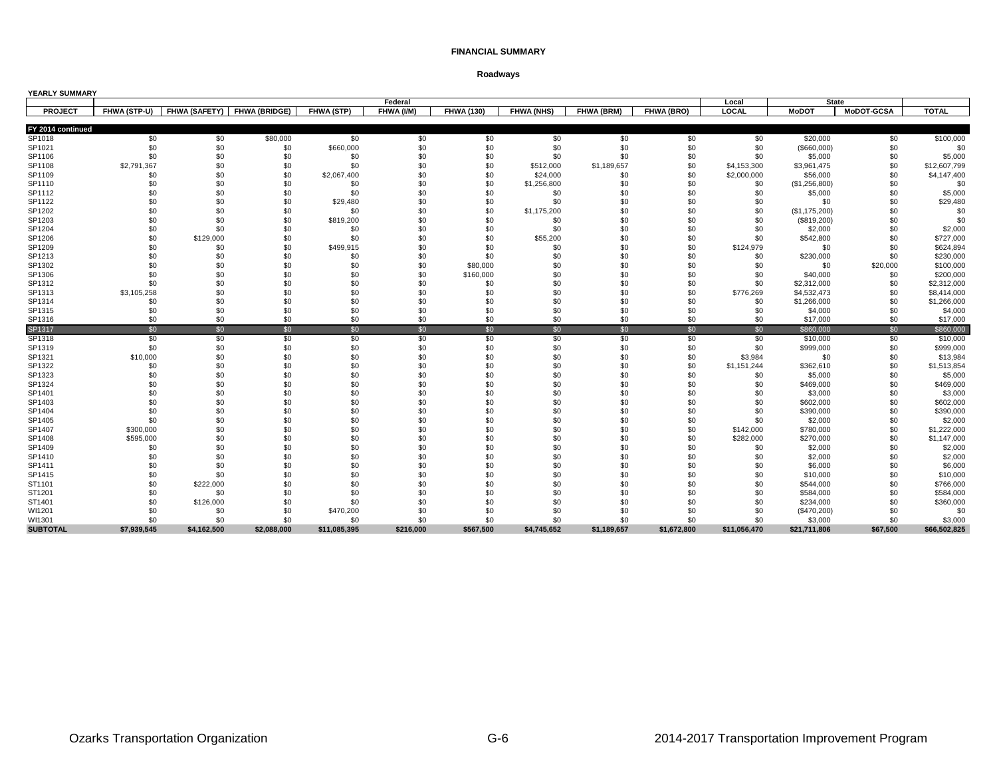| YEARLY SUMMARY    |              |               |                      |              |            |                   |                   |             |             |              |                |              |              |
|-------------------|--------------|---------------|----------------------|--------------|------------|-------------------|-------------------|-------------|-------------|--------------|----------------|--------------|--------------|
|                   |              |               |                      |              | Federal    |                   |                   |             |             | Local        |                | <b>State</b> |              |
| <b>PROJECT</b>    | FHWA (STP-U) | FHWA (SAFETY) | <b>FHWA (BRIDGE)</b> | FHWA (STP)   | FHWA (I/M) | <b>FHWA (130)</b> | <b>FHWA (NHS)</b> | FHWA (BRM)  | FHWA (BRO)  | LOCAL        | <b>MoDOT</b>   | MoDOT-GCSA   | <b>TOTAL</b> |
| FY 2014 continued |              |               |                      |              |            |                   |                   |             |             |              |                |              |              |
| SP1018            | \$0          | \$0           | \$80,000             | \$0          | \$0        | \$0               | \$0               | \$0         | \$0         | \$0          | \$20,000       | \$0          | \$100,000    |
| SP1021            | \$0          | \$0           | \$0                  | \$660,000    | \$0        | \$0               | \$0               | \$0         | \$0         | \$0          | $($ \$660,000) | \$0          | \$0          |
| SP1106            | \$0          | \$0           | \$0                  | \$0          | \$0        | \$0               | \$0               | \$0         | \$0         | \$0          | \$5,000        | \$0          | \$5,000      |
| SP1108            | \$2,791,367  | \$0           | \$0                  | \$0          | \$0        | \$0               | \$512,000         | \$1,189,657 | \$0         | \$4,153,300  | \$3,961,475    | \$0          | \$12,607,799 |
| SP1109            | \$0          | \$0           | \$0                  | \$2,067,400  | \$0        | \$0               | \$24,000          | \$0         | \$0         | \$2,000,000  | \$56,000       | \$0          | \$4,147,400  |
| SP1110            | \$0          | \$0           | \$0                  | \$0          | \$0        | \$0               | \$1,256,800       | \$0         | \$0         | \$0          | (\$1,256,800)  | \$0          | \$0          |
| SP1112            | \$0          | \$0           | \$0                  | \$0          | \$0        | \$0               | \$0               | \$0         | \$0         | \$0          | \$5,000        | \$0          | \$5,000      |
| SP1122            | \$0          | \$0           | \$0                  | \$29,480     | \$0        | \$0               | \$0               | \$0         | \$0         | \$0          | \$0            | \$0          | \$29,480     |
| SP1202            | \$0          | \$0           | \$0                  | \$0          | \$0        | \$0               | \$1,175,200       | \$0         | \$0         | \$0          | (\$1,175,200)  | \$0          | \$0          |
| SP1203            | \$0          | \$0           | \$0                  | \$819,200    | \$0        | \$0               | \$0               | \$0         | \$0         | \$0          | (\$819,200)    | \$0          | \$0          |
| SP1204            | \$0          | \$0           | \$0                  | \$0          | \$0        | \$0               | \$0               | \$0         | \$0         | \$0          | \$2,000        | \$0          | \$2,000      |
| SP1206            | \$0          | \$129,000     | \$0                  | \$0          | \$0        | \$0               | \$55,200          | \$0         | \$0         | \$0          | \$542,800      | \$0          | \$727,000    |
| SP1209            | \$0          | \$0           | \$0                  | \$499,915    | \$0        | \$0               | \$0               | \$0         | \$0         | \$124,979    | \$0            | \$0          | \$624,894    |
| SP1213            | \$0          | \$0           | \$0                  | \$0          | \$0        | \$0               | \$0               | \$0         | \$0         | \$0          | \$230,000      | \$0          | \$230,000    |
| SP1302            | \$0          | \$0           | \$0                  | \$0          | \$0        | \$80,000          | \$0               | \$0         | \$0         | \$0          | \$0            | \$20,000     | \$100,000    |
| SP1306            | \$0          | \$0           | \$0                  | \$0          | \$0        | \$160,000         | \$0               | \$0         | \$0         | \$0          | \$40,000       | \$0          | \$200,000    |
| SP1312            | \$0          | \$0           | \$0                  | \$0          | \$0        | \$0               | \$0               | \$0         | \$0         | \$0          | \$2,312,000    | \$0          | \$2,312,000  |
| SP1313            | \$3,105,258  | \$0           | \$0                  | \$0          | \$0        | \$0               | \$0               | \$0         | \$0         | \$776,269    | \$4,532,473    | \$0          | \$8,414,000  |
| SP1314            | \$0          | \$0           | \$0                  | \$0          | \$0        | \$0               | \$0               | \$0         | \$0         | \$0          | \$1,266,000    | \$0          | \$1,266,000  |
| SP1315            | \$0          | \$0           | \$0                  | \$0          | \$0        | \$0               | \$0               | \$0         | \$0         | \$0          | \$4,000        | \$0          | \$4,000      |
| SP1316            | \$0          | \$0           | \$0                  | \$0          | \$0        | \$0               | \$0               | \$0         | \$0         | \$0          | \$17,000       | \$0          | \$17,000     |
| SP1317            | \$0          | \$0           | \$0                  | \$0          | \$0        | \$0               | \$0               | \$0         | \$0         | \$0          | \$860,000      | \$0          | \$860,000    |
| SP1318            | \$0          | \$0           | \$0                  | \$0          | \$0        | \$0               | \$0               | \$0         | \$0         | \$0          | \$10,000       | \$0          | \$10,000     |
| SP1319            | \$0          | \$0           | \$0                  | \$0          | \$0        | \$0               | \$0               | \$0         | \$0         | \$0          | \$999,000      | \$0          | \$999,000    |
| SP1321            | \$10,000     | \$0           | \$0                  | \$0          | \$0        | \$0               | \$0               | \$0         | \$0         | \$3,984      | \$0            | \$0          | \$13,984     |
| SP1322            | \$0          | \$0           | \$0                  | \$0          | \$0        | \$0               | \$0               | \$0         | \$0         | \$1,151,244  | \$362,610      | \$0          | \$1,513,854  |
| SP1323            | \$0          | \$0           | \$0                  | \$0          | \$0        | \$0               | \$0               | \$0         | \$0         | \$0          | \$5,000        | \$0          | \$5,000      |
| SP1324            | \$0          | \$0           | \$0                  | \$0          | \$0        | \$0               | \$0               | \$0         | \$0         | \$0          | \$469,000      | \$0          | \$469,000    |
| SP1401            | \$0          | \$0           | \$0                  | \$0          | \$0        | \$0               | \$0               | \$0         | \$0         | \$0          | \$3,000        | \$0          | \$3,000      |
| SP1403            | \$0          | \$0           | \$0                  | \$0          | \$0        | \$0               | \$0               | \$0         | \$0         | \$0          | \$602,000      | \$0          | \$602,000    |
| SP1404            | \$0          | \$0           | \$0                  | \$0          | \$0        | \$0               | \$0               | \$0         | \$0         | \$0          | \$390,000      | \$0          | \$390,000    |
| SP1405            | \$0          | \$0           | \$0                  | \$0          | \$0        | \$0               | \$0               | \$0         | \$0         | \$0          | \$2,000        | \$0          | \$2,000      |
| SP1407            | \$300,000    | \$0           | \$0                  | \$0          | \$0        | \$0               | \$0               | \$0         | \$0         | \$142,000    | \$780,000      | \$0          | \$1,222,000  |
| SP1408            | \$595,000    | \$0           | \$0                  | \$0          | \$0        | \$0               | \$0               | \$0         | \$0         | \$282,000    | \$270,000      | \$0          | \$1,147,000  |
| SP1409            | \$0          | \$0           | \$0                  | \$0          | \$0        | \$0               | \$0               | \$0         | \$0         | \$0          | \$2,000        | \$0          | \$2,000      |
| SP1410            | \$0          | \$0           | \$0                  | \$0          | \$0        | \$0               | \$0               | \$0         | \$0         | \$0          | \$2,000        | \$0          | \$2,000      |
| SP1411            | \$0          | \$0           | \$0                  | \$0          | \$0        | \$0               | \$0               | \$0         | \$0         | \$0          | \$6,000        | \$0          | \$6,000      |
| SP1415            | \$0          | \$0           | \$0                  | \$0          | \$0        | \$0               | \$0               | \$0         | \$0         | \$0          | \$10,000       | \$0          | \$10,000     |
| ST1101            | \$0          | \$222,000     | \$0                  | \$0          | \$0        | \$0               | \$0               | \$0         | \$0         | \$0          | \$544,000      | \$0          | \$766,000    |
| ST1201            | \$0          | \$0           | \$0                  | \$0          | \$0        | \$0               | \$0               | \$0         | \$0         | \$0          | \$584,000      | \$0          | \$584,000    |
| ST1401            | \$0          | \$126,000     | \$0                  | \$0          | \$0        | \$0               | \$0               | \$0         | \$0         | \$0          | \$234,000      | \$0          | \$360,000    |
| WI1201            | \$0          | \$0           | \$0                  | \$470,200    | \$0        | \$0               | \$0               | \$0         | \$0         | \$0          | (\$470,200)    | \$0          | \$0          |
| WI1301            | \$0          | \$0           | \$0                  | \$0          | \$0        | \$0               | \$0               | \$0         | \$0         | \$0          | \$3,000        | \$0          | \$3,000      |
| <b>SUBTOTAL</b>   | \$7,939,545  | \$4,162,500   | \$2.088.000          | \$11,085,395 | \$216,000  | \$567.500         | \$4,745,652       | \$1,189,657 | \$1,672,800 | \$11,056,470 | \$21,711,806   | \$67,500     | \$66,502,825 |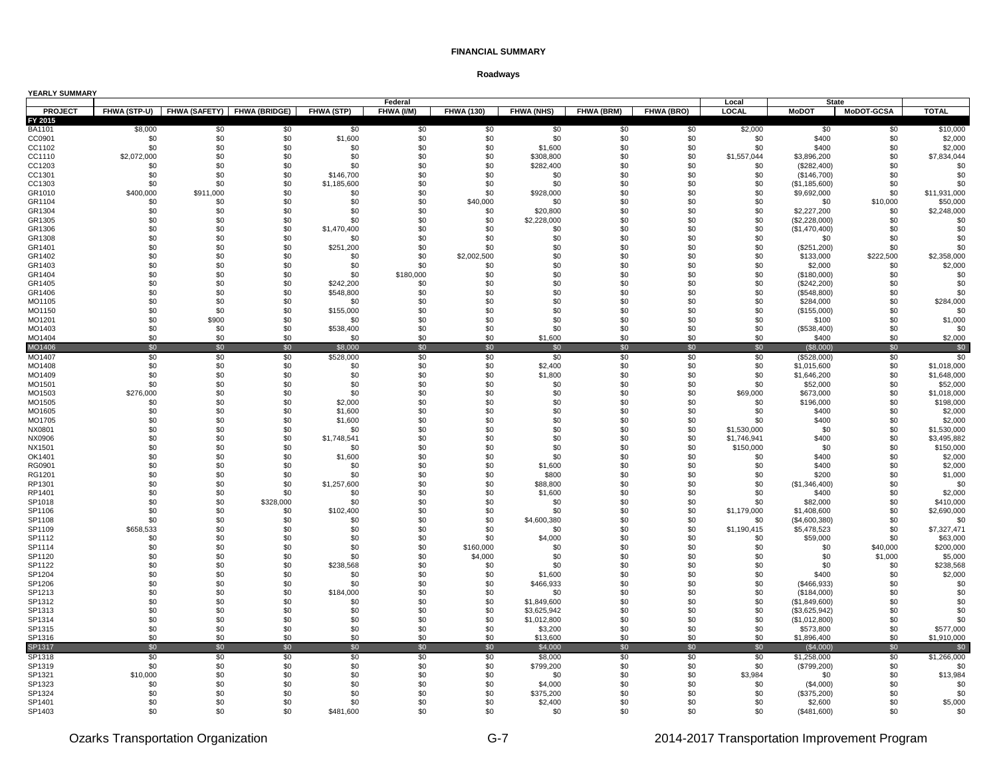|  | YEARLY SUMMARY |
|--|----------------|
|--|----------------|

| YEARLY SUMMARY   |                    |            |                                          |                  | Federal    |                    |                      |            |            | Local              |                            | <b>State</b>      |                            |
|------------------|--------------------|------------|------------------------------------------|------------------|------------|--------------------|----------------------|------------|------------|--------------------|----------------------------|-------------------|----------------------------|
| <b>PROJECT</b>   |                    |            | FHWA (STP-U) FHWA (SAFETY) FHWA (BRIDGE) | FHWA (STP)       | FHWA (I/M) | <b>FHWA (130)</b>  | <b>FHWA (NHS)</b>    | FHWA (BRM) | FHWA (BRO) | LOCAL              | <b>MoDOT</b>               | <b>MoDOT-GCSA</b> | <b>TOTAL</b>               |
| FY 2015          |                    |            |                                          |                  |            |                    |                      |            |            |                    |                            |                   |                            |
| <b>BA1101</b>    | \$8,000            | \$0        | \$0                                      | \$0              | \$0        | \$0                | \$0                  | \$0        | \$0        | \$2,000            | \$0                        | \$0               | \$10,000                   |
| CC0901           | \$0                | \$0        | \$0                                      | \$1,600          | \$0        | \$0                | \$0                  | \$0        | \$0        | \$0                | \$400                      | \$0               | \$2,000                    |
| CC1102           | \$0<br>\$2,072,000 | \$0<br>\$0 | \$0<br>\$0                               | \$0<br>\$0       | \$0<br>\$0 | \$0<br>\$0         | \$1,600<br>\$308,800 | \$0<br>\$0 | \$0<br>\$0 | \$0<br>\$1,557,044 | \$400<br>\$3,896,200       | \$0<br>\$0        | \$2,000<br>\$7,834,044     |
| CC1110<br>CC1203 | \$0                | \$0        | \$0                                      | \$0              | \$0        | \$0                | \$282,400            | \$0        | \$0        | \$0                | (\$282,400)                | \$0               | \$0                        |
| CC1301           | \$0                | \$0        | \$0                                      | \$146,700        | \$0        | \$0                | \$0                  | \$0        | \$0        | \$0                | (\$146,700)                | \$0               | \$0                        |
| CC1303           | \$0                | \$0        | \$0                                      | \$1,185,600      | \$0        | \$0                | \$0                  | \$0        | \$0        | \$0                | (\$1,185,600)              | \$0               | \$0                        |
| GR1010           | \$400,000          | \$911,000  | \$0                                      | \$0              | \$0        | \$0                | \$928,000            | \$0        | \$0        | \$0                | \$9,692,000                | \$0               | \$11,931,000               |
| GR1104           | \$0                | \$0        | \$0                                      | \$0              | \$0        | \$40,000           | \$0                  | \$0        | \$0        | \$0                | \$0                        | \$10,000          | \$50,000                   |
| GR1304           | \$0                | \$0        | \$0                                      | \$0              | \$0        | \$0                | \$20,800             | \$0        | \$0        | \$0                | \$2,227,200                | \$0               | \$2,248,000                |
| GR1305           | \$0                | \$0        | \$0                                      | \$0              | \$0        | \$0                | \$2,228,000          | \$0        | \$0        | \$0                | (\$2,228,000)              | \$0               | \$0                        |
| GR1306           | \$0                | \$0        | \$0                                      | \$1,470,400      | \$0        | \$0                | \$0                  | \$0        | \$0        | \$0                | (\$1,470,400)              | \$0               | \$0                        |
| GR1308           | \$0                | \$0        | \$0                                      | \$0              | \$0        | \$0                | \$0                  | \$0        | \$0        | \$0                | \$0                        | \$0               | \$0                        |
| GR1401           | \$0                | \$0        | \$0                                      | \$251,200        | \$0        | \$0                | \$0                  | \$0        | \$0        | \$0                | (\$251,200)                | \$0               | \$0                        |
| GR1402<br>GR1403 | \$0<br>\$0         | \$0<br>\$0 | \$0<br>\$0                               | \$0<br>\$0       | \$0<br>\$0 | \$2,002,500<br>\$0 | \$0<br>\$0           | \$0<br>\$0 | \$0<br>\$0 | \$0<br>\$0         | \$133,000<br>\$2,000       | \$222,500<br>\$0  | \$2,358,000<br>\$2,000     |
| GR1404           | \$0                | \$0        | \$0                                      | \$0              | \$180,000  | \$0                | \$0                  | \$0        | \$0        | \$0                | (\$180,000)                | \$0               | \$0                        |
| GR1405           | \$0                | \$0        | \$0                                      | \$242.200        | \$0        | \$0                | \$0                  | \$0        | \$0        | \$0                | (\$242,200)                | \$0               | \$0                        |
| GR1406           | \$0                | \$0        | \$0                                      | \$548,800        | \$0        | \$0                | \$0                  | \$0        | \$0        | \$0                | (\$548,800)                | \$0               | \$0                        |
| MO1105           | \$0                | \$0        | \$0                                      | \$0              | \$0        | \$0                | \$0                  | \$0        | \$0        | \$0                | \$284,000                  | \$0               | \$284,000                  |
| MO1150           | \$0                | \$0        | \$0                                      | \$155,000        | \$0        | \$0                | \$0                  | \$0        | \$0        | \$0                | (\$155,000)                | \$0               | \$0                        |
| MO1201           | \$0                | \$900      | \$0                                      | \$0              | \$0        | \$0                | \$0                  | \$0        | \$0        | \$0                | \$100                      | \$0               | \$1,000                    |
| MO1403           | \$0                | \$0        | \$0                                      | \$538,400        | \$0        | \$0                | \$0                  | \$0        | \$0        | \$0                | (\$538,400)                | \$0               | \$0                        |
| MO1404           | \$0                | \$0        | \$0                                      | \$0              | \$0        | \$0                | \$1,600              | \$0        | \$0        | \$0                | \$400                      | \$0               | \$2,000                    |
| MO1406           | \$0                | \$0        | \$0                                      | \$8,000          | \$0        | \$0                | \$0                  | \$0        | \$0        | \$0                | (\$8,000)                  | \$0               | \$0                        |
| MO1407           | \$0                | \$0        | \$0                                      | \$528,000        | \$0        | \$0                | \$0                  | \$0        | \$0        | \$0                | (\$528,000)                | \$0               | \$0                        |
| MO1408<br>MO1409 | \$0<br>\$0         | \$0<br>\$0 | \$0<br>\$0                               | \$0<br>\$0       | \$0<br>\$0 | \$0<br>\$0         | \$2,400<br>\$1,800   | \$0<br>\$0 | \$0<br>\$0 | \$0<br>\$0         | \$1,015,600<br>\$1,646,200 | \$0<br>\$0        | \$1,018,000<br>\$1,648,000 |
| MO1501           | \$0                | \$0        | \$0                                      | \$0              | \$0        | \$0                | \$0                  | \$0        | \$0        | \$0                | \$52,000                   | \$0               | \$52,000                   |
| MO1503           | \$276,000          | \$0        | \$0                                      | \$0              | \$0        | \$0                | \$0                  | \$0        | \$0        | \$69,000           | \$673,000                  | \$0               | \$1,018,000                |
| MO1505           | \$0                | \$0        | \$0                                      | \$2,000          | \$0        | \$0                | \$0                  | \$0        | \$0        | \$0                | \$196,000                  | \$0               | \$198,000                  |
| MO1605           | \$0                | \$0        | \$0                                      | \$1,600          | \$0        | \$0                | \$0                  | \$0        | \$0        | \$0                | \$400                      | \$0               | \$2,000                    |
| MO1705           | \$0                | \$0        | \$0                                      | \$1,600          | \$0        | \$0                | \$0                  | \$0        | \$0        | \$0                | \$400                      | \$0               | \$2,000                    |
| NX0801           | \$0                | \$0        | \$0                                      | \$0              | \$0        | \$0                | \$0                  | \$0        | \$0        | \$1,530,000        | \$0                        | \$0               | \$1,530,000                |
| NX0906           | \$0                | \$0        | \$0                                      | \$1,748,541      | \$0        | \$0                | \$0                  | \$0        | \$0        | \$1,746,941        | \$400                      | \$0               | \$3,495,882                |
| NX1501           | \$0                | \$0        | \$0                                      | \$0              | \$0        | \$0                | \$0                  | \$0        | \$0        | \$150,000          | \$0                        | \$0               | \$150,000                  |
| OK1401<br>RG0901 | \$0<br>\$0         | \$0<br>\$0 | \$0<br>\$0                               | \$1,600<br>\$0   | \$0<br>\$0 | \$0<br>\$0         | \$0<br>\$1,600       | \$0<br>\$0 | \$0<br>\$0 | \$0<br>\$0         | \$400<br>\$400             | \$0<br>\$0        | \$2,000<br>\$2,000         |
| RG1201           | \$0                | \$0        | \$0                                      | \$0              | \$0        | \$0                | \$800                | \$0        | \$0        | \$0                | \$200                      | \$0               | \$1,000                    |
| RP1301           | \$0                | \$0        | \$0                                      | \$1,257,600      | \$0        | \$0                | \$88,800             | \$0        | \$0        | \$0                | (\$1,346,400)              | \$0               | \$0                        |
| RP1401           | \$0                | \$0        | \$0                                      | \$0              | \$0        | \$0                | \$1,600              | \$0        | \$0        | \$0                | \$400                      | \$0               | \$2,000                    |
| SP1018           | \$0                | \$0        | \$328,000                                | \$0              | \$0        | \$0                | \$0                  | \$0        | \$0        | \$0                | \$82,000                   | \$0               | \$410,000                  |
| SP1106           | \$0                | \$0        | \$0                                      | \$102,400        | \$0        | \$0                | \$0                  | \$0        | \$0        | \$1,179,000        | \$1,408,600                | \$0               | \$2,690,000                |
| SP1108           | \$0                | \$0        | \$0                                      | \$0              | \$0        | \$0                | \$4,600,380          | \$0        | \$0        | \$0                | (\$4,600,380)              | \$0               | \$0                        |
| SP1109           | \$658,533          | \$0        | \$0                                      | \$0              | \$0        | \$0                | \$0                  | \$0        | \$0        | \$1,190,415        | \$5,478,523                | \$0               | \$7,327,471                |
| SP1112           | \$0                | \$0        | \$0                                      | \$0              | \$0        | \$0                | \$4,000              | \$0        | \$0        | \$0                | \$59,000                   | \$0               | \$63,000                   |
| SP1114           | \$0                | \$0        | \$0                                      | \$0              | \$0        | \$160,000          | \$0                  | \$0        | \$0        | \$0                | \$0                        | \$40,000          | \$200,000                  |
| SP1120<br>SP1122 | \$0<br>\$0         | \$0<br>\$0 | \$0<br>\$0                               | \$0<br>\$238,568 | \$0<br>\$0 | \$4,000<br>\$0     | \$0<br>\$0           | \$0<br>\$0 | \$0<br>\$0 | \$0<br>\$0         | \$0<br>\$0                 | \$1,000<br>\$0    | \$5,000<br>\$238,568       |
| SP1204           | \$0                | \$0        | \$0                                      | \$0              | \$0        | \$0                | \$1,600              | \$0        | \$0        | \$0                | \$400                      | \$0               | \$2,000                    |
| SP1206           | \$0                | \$0        | \$0                                      | \$0              | \$0        | \$0                | \$466,933            | \$0        | \$0        | \$0                | (\$466,933)                | \$0               | \$0                        |
| SP1213           | \$0                | \$0        | \$0                                      | \$184,000        | \$0        | \$0                | \$0                  | \$0        | \$0        | \$0                | (\$184,000)                | \$0               | \$0                        |
| SP1312           | \$0                | \$0        | \$0                                      | \$0              | \$0        | \$0                | \$1,849,600          | \$0        | \$0        | \$0                | (\$1,849,600)              | \$0               | \$0                        |
| SP1313           | \$0                | \$0        | \$0                                      | \$0              | \$0        | \$0                | \$3,625,942          | \$0        | \$0        | \$0                | (\$3,625,942)              | \$0               | \$0                        |
| SP1314           | \$0                | \$0        | \$0                                      | \$0              | \$0        | \$0                | \$1,012,800          | \$0        | \$0        | \$0                | (\$1,012,800)              | \$0               | \$0                        |
| SP1315           | \$0                | \$0        | \$0                                      | \$0              | \$0        | \$0                | \$3,200              | \$0        | \$0        | \$0                | \$573,800                  | \$0               | \$577,000                  |
| SP1316           | \$0                | \$0        | \$0                                      | \$0              | \$0        | \$0                | \$13,600             | \$0        | \$0        | \$0                | \$1,896,400                | \$0               | \$1,910,000                |
| SP1317           | \$0                | \$0        | \$0                                      | \$0              | \$0        | \$0                | \$4,000              | \$0        | \$0        | \$0                | (S4,000)                   | \$0               | \$0                        |
| SP1318           | \$0                | \$0        | \$0                                      | \$0              | \$0        | \$0                | \$8,000              | \$0        | \$0        | \$0                | \$1,258,000                | \$0               | \$1,266,000                |
| SP1319           | \$0                | \$0        | \$0                                      | \$0              | \$0        | \$0                | \$799,200            | \$0        | \$0        | \$0                | (\$799,200)                | \$0               | \$0                        |
| SP1321           | \$10,000           | \$0        | \$0                                      | \$0              | \$0        | \$0                | \$0                  | \$0        | \$0        | \$3,984            | \$0                        | \$0               | \$13,984                   |
| SP1323           | \$0<br>\$0         | \$0<br>\$0 | \$0                                      | \$0<br>\$0       | \$0<br>\$0 | \$0                | \$4,000<br>\$375,200 | \$0<br>\$0 | \$0        | \$0<br>\$0         | (\$4,000)                  | \$0               | \$0<br>\$0                 |
| SP1324<br>SP1401 | \$0                | \$0        | \$0<br>\$0                               | \$0              | \$0        | \$0<br>\$0         | \$2,400              | \$0        | \$0<br>\$0 | \$0                | (\$375,200)<br>\$2,600     | \$0<br>\$0        | \$5,000                    |
| SP1403           | \$0                | \$0        | \$0                                      | \$481,600        | \$0        | \$0                | \$0                  | \$0        | \$0        | \$0                | (\$481,600)                | \$0               | \$0                        |
|                  |                    |            |                                          |                  |            |                    |                      |            |            |                    |                            |                   |                            |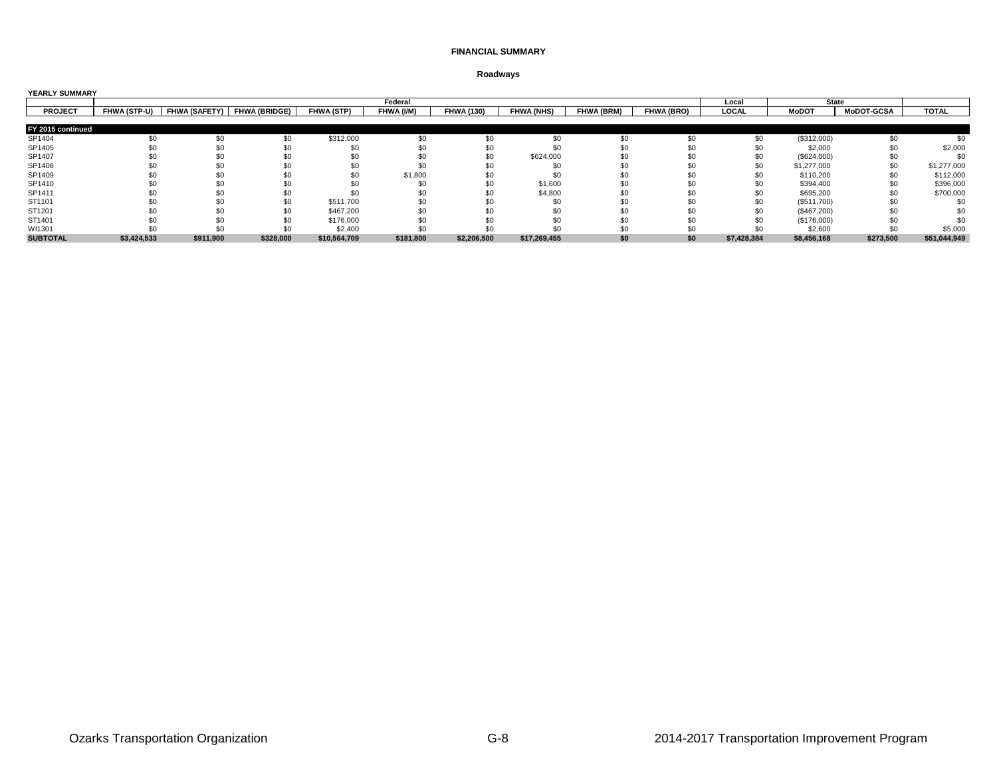| <b>YEARLY SUMMARY</b> |                     |           |                             |              |            |                   |                   |                   |                   |             |              |                   |              |
|-----------------------|---------------------|-----------|-----------------------------|--------------|------------|-------------------|-------------------|-------------------|-------------------|-------------|--------------|-------------------|--------------|
|                       |                     |           |                             |              | Federal    |                   |                   |                   |                   | Local       | <b>State</b> |                   |              |
| <b>PROJECT</b>        | <b>FHWA (STP-U)</b> |           | FHWA (SAFETY) FHWA (BRIDGE) | FHWA (STP)   | FHWA (I/M) | <b>FHWA (130)</b> | <b>FHWA (NHS)</b> | <b>FHWA (BRM)</b> | <b>FHWA (BRO)</b> | LOCAL       | <b>MoDOT</b> | <b>MoDOT-GCSA</b> | <b>TOTAL</b> |
|                       |                     |           |                             |              |            |                   |                   |                   |                   |             |              |                   |              |
| FY 2015 continued     |                     |           |                             |              |            |                   |                   |                   |                   |             |              |                   |              |
| SP1404                |                     |           | \$0                         | \$312,000    |            | \$0               |                   | \$0               | \$0               | \$0         | (\$312,000)  |                   |              |
| SP1405                |                     |           | \$0                         |              |            | \$0               |                   |                   |                   | \$C         | \$2,000      |                   | \$2,000      |
| SP1407                |                     |           | \$0                         |              |            | \$0               | \$624,000         |                   |                   | \$0         | (\$624,000)  |                   |              |
| SP1408                |                     |           |                             |              |            |                   |                   |                   |                   | \$0         | \$1,277,000  | \$0               | \$1,277,000  |
| SP1409                |                     |           | \$0                         |              | \$1,800    |                   |                   |                   |                   |             | \$110,200    |                   | \$112,000    |
| SP1410                |                     |           |                             |              |            | \$0               | \$1,600           |                   |                   |             | \$394,400    |                   | \$396,000    |
| SP1411                |                     |           | \$0                         |              |            | \$0               | \$4,800           |                   |                   | \$0         | \$695,200    |                   | \$700,000    |
| ST1101                |                     |           | \$0                         | \$511,700    |            | \$ <sub>6</sub>   |                   |                   |                   |             | (\$511,700)  |                   |              |
| ST1201                |                     |           | \$0                         | \$467,200    |            |                   |                   |                   |                   |             | (\$467,200)  |                   |              |
| ST1401                |                     |           | \$0                         | \$176,000    |            |                   |                   |                   |                   |             | (\$176,000)  |                   |              |
| WI1301                |                     |           |                             | \$2,400      |            |                   |                   |                   |                   |             | \$2,600      |                   | \$5,000      |
| <b>SUBTOTAL</b>       | \$3,424,533         | \$911,900 | \$328,000                   | \$10,564,709 | \$181,800  | \$2,206,500       | \$17,269,455      | \$0               | \$0               | \$7,428,384 | \$8,456,168  | \$273,500         | \$51,044,949 |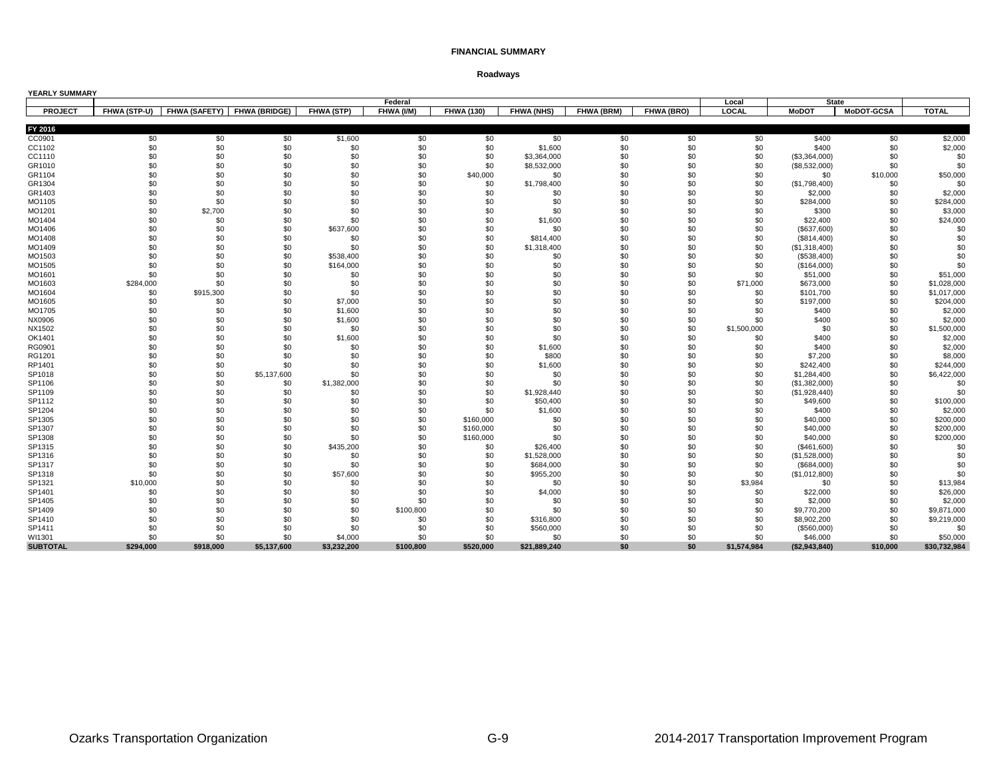| YEARLY SUMMARY            |                     |                             |             |                        |            |                   |                   |            |            |             |                           |                   |                    |
|---------------------------|---------------------|-----------------------------|-------------|------------------------|------------|-------------------|-------------------|------------|------------|-------------|---------------------------|-------------------|--------------------|
|                           |                     |                             |             |                        | Federal    |                   |                   |            |            | Local       |                           | <b>State</b>      |                    |
| <b>PROJECT</b>            | <b>FHWA (STP-U)</b> | FHWA (SAFETY) FHWA (BRIDGE) |             | FHWA (STP)             | FHWA (I/M) | <b>FHWA (130)</b> | <b>FHWA (NHS)</b> | FHWA (BRM) | FHWA (BRO) | LOCAL       | <b>MoDOT</b>              | <b>MoDOT-GCSA</b> | <b>TOTAL</b>       |
|                           |                     |                             |             |                        |            |                   |                   |            |            |             |                           |                   |                    |
| FY 2016                   |                     |                             |             |                        |            |                   |                   |            |            |             |                           |                   |                    |
| CC0901                    | \$0                 | \$0                         | \$0         | \$1,600                | \$0        | \$0               | \$0<br>\$1,600    | \$0        | \$0        | \$0         | \$400                     | \$0               | \$2,000<br>\$2,000 |
| CC1102                    | \$0                 | \$0                         | \$0         | \$0                    | \$0        | \$0               |                   | \$0        | \$0        | \$0         | \$400                     | \$0               |                    |
| CC1110                    | \$0                 | \$0                         | \$0         | \$0                    | \$0        | \$0               | \$3,364,000       | \$0        | \$0        | \$0         | (\$3,364,000)             | \$0               | \$0                |
| GR1010                    | \$0                 | \$0                         | \$0         | \$0                    | \$0        | \$0               | \$8,532,000       | \$0        | \$0        | \$0         | (\$8,532,000)             | \$0               | \$0                |
| GR1104                    | \$0                 | \$0                         | \$0         | \$0                    | \$0        | \$40,000          | \$0               | \$0        | \$0        | \$0         | \$0                       | \$10,000          | \$50,000           |
| GR1304                    | \$0                 | \$0                         | \$0         | \$0                    | \$0        | \$0               | \$1,798,400       | \$0        | \$0        | \$0         | (\$1,798,400)             | \$0               | \$0                |
| GR1403                    | \$0                 | \$0                         | \$0         | \$0                    | \$0        | \$0               | \$0               | \$0        | \$0        | \$0         | \$2,000                   | \$0               | \$2,000            |
| MO1105                    | \$0                 | \$0                         | \$0         | \$0                    | \$0        | \$0               | \$0               | \$0        | \$0        | \$0         | \$284,000                 | \$0               | \$284,000          |
| MO1201                    | \$0                 | \$2,700                     | \$0         | \$0                    | \$0        | \$0               | \$0               | \$0        | \$0        | \$0         | \$300                     | \$0               | \$3,000            |
| MO1404                    | \$0                 | \$0                         | \$0         | \$0                    | \$0        | \$0               | \$1,600           | \$0        | \$0        | \$0         | \$22,400                  | \$0               | \$24,000           |
| MO1406                    | \$0                 | \$0                         | \$0         | \$637,600              | \$0        | \$0               | \$0               | \$0        | \$0        | \$0         | (\$637,600)               | \$0               | \$0                |
| MO1408                    | \$0                 | \$0                         | \$0         | \$0                    | \$0        | \$0               | \$814,400         | \$0        | \$0        | \$0         | (\$814,400)               | \$0               | \$0                |
| MO1409                    | \$0                 | \$0                         | \$0         | \$0                    | \$0        | \$0               | \$1,318,400       | \$0        | \$0        | \$0         | (\$1,318,400)             | \$0               | \$0                |
| MO1503                    | \$0                 | \$0                         | \$0         | \$538,400              | \$0        | \$0               | \$0               | \$0        | \$0        | \$0         | (\$538,400)               | \$0               | \$0                |
| MO1505                    | \$0<br>\$0          | \$0                         | \$0         | \$164,000              | \$0        | \$0               | \$0               | \$0        | \$0        | \$0         | (\$164,000)               | \$0               | \$0                |
| MO1601                    |                     | \$0<br>\$0                  | \$0         | \$0                    | \$0<br>\$0 | \$0               | \$0               | \$0<br>\$0 | \$0<br>\$0 | \$0         | \$51,000                  | \$0               | \$51,000           |
| MO1603                    | \$284,000           |                             | \$0         | \$0                    |            | \$0               | \$0               |            |            | \$71,000    | \$673,000                 | \$0               | \$1,028,000        |
| MO1604                    | \$0                 | \$915,300                   | \$0         | \$0                    | \$0        | \$0               | \$0               | \$0        | \$0        | \$0         | \$101,700                 | \$0               | \$1,017,000        |
| MO1605                    | \$0                 | \$0                         | \$0         | \$7,000                | \$0        | \$0               | \$0               | \$0        | \$0        | \$0         | \$197,000                 | \$0               | \$204,000          |
| MO1705                    | \$0                 | \$0                         | \$0         | \$1,600                | \$0        | \$0               | \$0               | \$0        | \$0        | \$0         | \$400                     | \$0               | \$2,000            |
| NX0906                    | \$0                 | \$0                         | \$0         | \$1,600                | \$0        | \$0               | \$0               | \$0        | \$0        | \$0         | \$400                     | \$0               | \$2,000            |
| NX1502                    | \$0                 | \$0                         | \$0         | \$0                    | \$0        | \$0               | \$0               | \$0        | \$0        | \$1,500,000 | \$0                       | \$0               | \$1,500,000        |
| OK1401                    | \$0                 | \$0                         | \$0         | \$1,600                | \$0        | \$0               | \$0               | \$0        | \$0        | \$0         | \$400                     | \$0               | \$2,000            |
| RG0901                    | \$0                 | \$0                         | \$0         | \$0                    | \$0        | \$0               | \$1,600           | \$0        | \$0        | \$0         | \$400                     | \$0               | \$2,000            |
| RG1201                    | \$0                 | \$0                         | \$0         | \$0                    | \$0        | \$0               | \$800             | \$0        | \$0        | \$0         | \$7,200                   | \$0               | \$8,000            |
| RP1401                    | \$0                 | \$0                         | \$0         | \$0                    | \$0        | \$0               | \$1,600           | \$0        | \$0        | \$0         | \$242,400                 | \$0               | \$244,000          |
| SP1018                    | \$0                 | \$0                         | \$5,137,600 | \$0                    | \$0        | \$0               | \$0               | \$0        | \$0        | \$0         | \$1,284,400               | \$0               | \$6,422,000        |
| SP1106                    | \$0                 | \$0                         | \$0         | \$1,382,000            | \$0        | \$0               | \$0               | \$0        | \$0        | \$0         | (\$1,382,000)             | \$0               | \$0                |
| SP1109                    | \$0                 | \$0                         | \$0         | \$0                    | \$0        | \$0               | \$1,928,440       | \$0        | \$0        | \$0         | (\$1,928,440)             | \$0               | \$0                |
| SP1112                    | \$0                 | \$0                         | \$0         | \$0                    | \$0        | \$0               | \$50,400          | \$0        | \$0        | \$0         | \$49,600                  | \$0               | \$100,000          |
| SP1204                    | \$0                 | \$0                         | \$0         | \$0                    | \$0        | \$0               | \$1,600           | \$0        | \$0        | \$0         | \$400                     | \$0               | \$2,000            |
| SP1305                    | \$0                 | \$0                         | \$0         | \$0                    | \$0        | \$160,000         | \$0               | \$0        | \$0        | \$0         | \$40,000                  | \$0               | \$200,000          |
| SP1307                    | \$0                 | \$0                         | \$0         | \$0                    | \$0        | \$160,000         | \$0               | \$0        | \$0        | \$0         | \$40,000                  | \$0               | \$200,000          |
| SP1308                    | \$0                 | \$0                         | \$0         | \$0                    | \$0        | \$160,000         | \$0               | \$0        | \$0        | \$0         | \$40,000                  | \$0               | \$200,000          |
| SP1315                    | \$0                 | \$0                         | \$0         | \$435,200              | \$0        | \$0               | \$26,400          | \$0        | \$0        | \$0         | (\$461,600)               | \$0               | \$0                |
| SP1316                    | \$0                 | \$0                         | \$0         | \$0                    | \$0        | \$0               | \$1,528,000       | \$0        | \$0        | \$0         | (\$1,528,000)             | \$0               | \$0                |
| SP1317                    | \$0                 | \$0                         | \$0         | \$0                    | \$0        | \$0               | \$684,000         | \$0        | \$0        | \$0         | (\$684,000)               | \$0               | \$0                |
| SP1318                    | \$0                 | \$0                         | \$0         | \$57,600               | \$0        | \$0               | \$955,200         | \$0        | \$0        | \$0         | (\$1,012,800)             | \$0               | \$0                |
| SP1321                    | \$10,000            | \$0                         | \$0         | \$0                    | \$0        | \$0               | \$0               | \$0        | \$0        | \$3,984     | \$0                       | \$0               | \$13,984           |
| SP1401                    | \$0                 | \$0                         | \$0         | \$0                    | \$0        | \$0               | \$4,000           | \$0        | \$0        | \$0         | \$22,000                  | \$0               | \$26,000           |
| SP1405                    | \$0                 | \$0                         | \$0         | \$0                    | \$0        | \$0               | \$0               | \$0<br>\$0 | \$0        | \$0         | \$2,000                   | \$0               | \$2,000            |
| SP1409                    | \$0                 | \$0                         | \$0         | \$0                    | \$100,800  | \$0               | \$0               |            | \$0        | \$0         | \$9,770,200               | \$0               | \$9,871,000        |
| SP1410                    | \$0                 | \$0                         | \$0         | \$0                    | \$0        | \$0               | \$316,800         | \$0        | \$0        | \$0         | \$8,902,200               | \$0               | \$9,219,000        |
| SP1411                    | \$0<br>\$0          | \$0<br>\$0                  | \$0<br>\$0  | \$0                    | \$0<br>\$0 | \$0<br>\$0        | \$560,000<br>\$0  | \$0<br>\$0 | \$0<br>\$0 | \$0<br>\$0  | (\$560,000)               | \$0<br>\$0        | \$0<br>\$50,000    |
| WI1301<br><b>SUBTOTAL</b> | \$294,000           | \$918,000                   | \$5,137,600 | \$4,000<br>\$3,232,200 | \$100,800  | \$520,000         | \$21,889,240      | \$0        | \$0        | \$1,574,984 | \$46,000<br>(\$2,943,840) | \$10,000          | \$30,732,984       |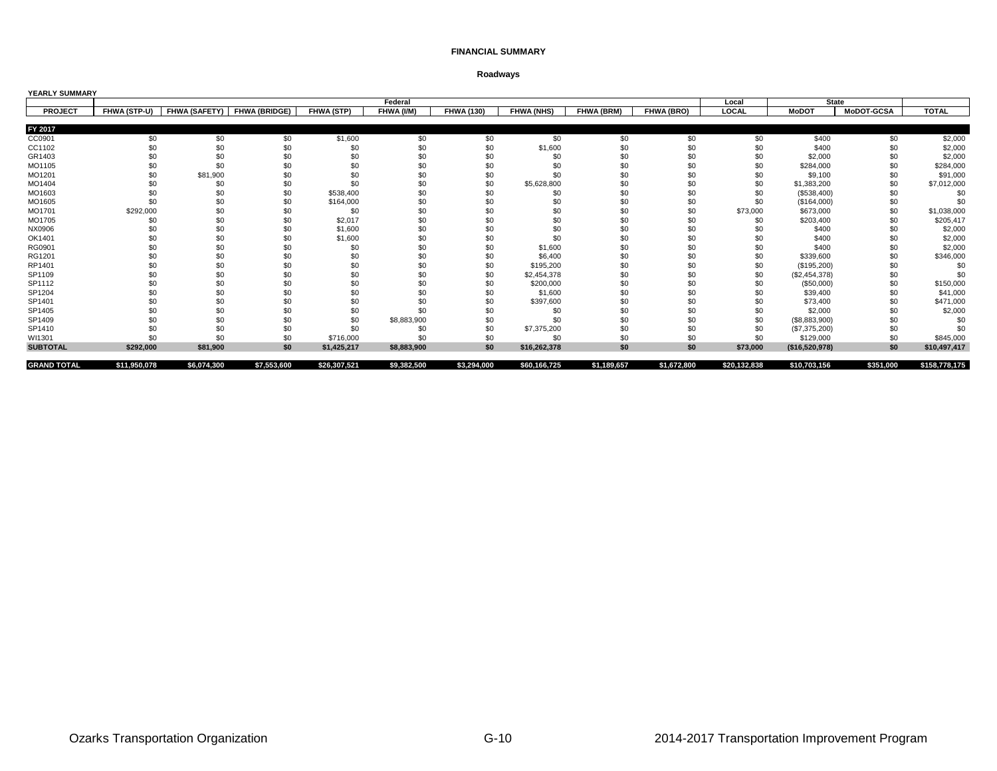| <b>YEARLY SUMMARY</b> |              |                      |                      |              |             |                   |                   |             |             |              |                |            |               |
|-----------------------|--------------|----------------------|----------------------|--------------|-------------|-------------------|-------------------|-------------|-------------|--------------|----------------|------------|---------------|
|                       |              |                      |                      |              | Federal     |                   |                   |             |             | Local        | <b>State</b>   |            |               |
| <b>PROJECT</b>        | FHWA (STP-U) | <b>FHWA (SAFETY)</b> | <b>FHWA (BRIDGE)</b> | FHWA (STP)   | FHWA (I/M)  | <b>FHWA (130)</b> | <b>FHWA (NHS)</b> | FHWA (BRM)  | FHWA (BRO)  | LOCAL        | <b>MoDOT</b>   | MoDOT-GCSA | <b>TOTAL</b>  |
|                       |              |                      |                      |              |             |                   |                   |             |             |              |                |            |               |
| FY 2017               |              |                      |                      |              |             |                   |                   |             |             |              |                |            |               |
| CC0901                | \$0          | \$0                  | \$0                  | \$1,600      | \$0         | \$0               | \$0               | \$0         | \$0         | \$0          | \$400          | \$0        | \$2,000       |
| CC1102                | \$0          | \$0                  | \$0                  | \$0          | \$0         | \$0               | \$1,600           | \$0         | \$0         | \$0          | \$400          | \$0        | \$2,000       |
| GR1403                | \$0          | \$0                  | \$0                  | \$0          | \$0         | \$0               | \$0               | \$0         | \$0         | \$0          | \$2,000        | \$0        | \$2,000       |
| MO1105                | \$0          | \$0                  | \$0                  | \$0          | \$0         | \$0               | \$0               | \$0         | \$0         | \$0          | \$284,000      | \$0        | \$284,000     |
| MO1201                | \$0          | \$81,900             | \$0                  | \$0          |             | \$0               | \$0               |             | \$0         | \$0          | \$9,100        | \$0        | \$91,000      |
| MO1404                | \$0          | \$0                  | \$0                  | \$0          | \$0         | \$0               | \$5,628,800       | \$0         | \$0         | \$0          | \$1,383,200    | \$0        | \$7,012,000   |
| MO1603                | \$0          | \$0                  | \$0                  | \$538,400    | \$0         | \$0               | \$0               | \$0         | \$0         | \$0          | (\$538,400)    | \$0        | \$0           |
| MO1605                | \$0          | \$0                  | \$0                  | \$164,000    | \$0         | \$0               | \$0               | \$0         | \$0         | \$0          | (\$164,000)    | \$0        | \$0           |
| MO1701                | \$292,000    | \$0                  | \$0                  | \$0          | \$0         | \$0               | \$0               | \$0         | \$0         | \$73,000     | \$673,000      | \$0        | \$1,038,000   |
| MO1705                | \$0          | \$0                  | \$0                  | \$2,017      | \$0         | \$0               | \$0               | \$0         | \$0         | \$0          | \$203,400      | \$0        | \$205,417     |
| NX0906                | \$ſ          | \$0                  | \$0                  | \$1,600      | \$0         | \$0               | \$0               | \$0         | \$0         |              | \$400          | \$0        | \$2,000       |
| OK1401                | \$0          | \$0                  | \$0                  | \$1,600      | \$0         | \$0               | \$0               |             | \$0         |              | \$400          | \$0        | \$2,000       |
| RG0901                | \$0          | \$0                  | \$0                  | \$0          | \$0         | \$0               | \$1,600           | \$0         | \$0         | \$0          | \$400          | \$0        | \$2,000       |
| RG1201                | \$0          | \$0                  | \$0                  | \$0          | \$0         | \$0               | \$6,400           | \$0         | \$0         | \$0          | \$339,600      | \$0        | \$346,000     |
| RP1401                | \$0          | \$0                  | \$0                  | \$0          | \$0         | \$0               | \$195,200         | \$0         | \$0         | \$0          | (\$195,200)    | \$0        | \$0           |
| SP1109                | \$0          | \$0                  | \$0                  | \$0          | \$0         | \$0               | \$2,454,378       | \$0         | \$0         | \$0          | (\$2,454,378)  | \$0        | \$0           |
| SP1112                | \$0          | \$0                  | \$0                  | \$0          | \$0         | \$0               | \$200,000         | \$0         | \$0         | \$0          | (\$50,000)     | \$0        | \$150,000     |
| SP1204                | \$0          | \$0                  | \$0                  | \$0          | \$0         | \$0               | \$1,600           | \$0         | \$0         | \$0          | \$39,400       | \$0        | \$41,000      |
| SP1401                | \$0          | \$0                  | \$0                  | \$0          | \$0         | \$0               | \$397,600         | \$0         | \$0         | \$0          | \$73,400       | \$0        | \$471,000     |
| SP1405                | \$0          | \$0                  | \$0                  | \$0          | \$0         | \$0               | \$0               | \$0         | \$0         | \$0          | \$2,000        | \$0        | \$2,000       |
| SP1409                | \$0          | \$0                  | \$0                  | \$0          | \$8,883,900 | \$0               | \$0               |             | \$0         | \$0          | (\$8,883,900)  | \$0        | \$0           |
| SP1410                | \$0          | \$0                  | \$0                  | \$0          | \$0         | \$0               | \$7,375,200       | \$0         | \$0         | \$0          | (\$7,375,200)  | \$0        | \$0           |
| WI1301                | \$0          | \$0                  | \$0                  | \$716,000    | \$0         | \$0               | \$0               | \$0         | \$0         | \$0          | \$129,000      | \$0        | \$845,000     |
| <b>SUBTOTAL</b>       | \$292,000    | \$81,900             | \$0                  | \$1,425,217  | \$8,883,900 | \$0               | \$16,262,378      | \$0         | \$0         | \$73,000     | (\$16,520,978) | \$0        | \$10,497,417  |
| <b>GRAND TOTAL</b>    | \$11,950,078 | \$6,074,300          | \$7,553,600          | \$26,307,521 | \$9,382,500 | \$3,294,000       | \$60,166,725      | \$1,189,657 | \$1,672,800 | \$20,132,838 | \$10,703,156   | \$351,000  | \$158,778,175 |